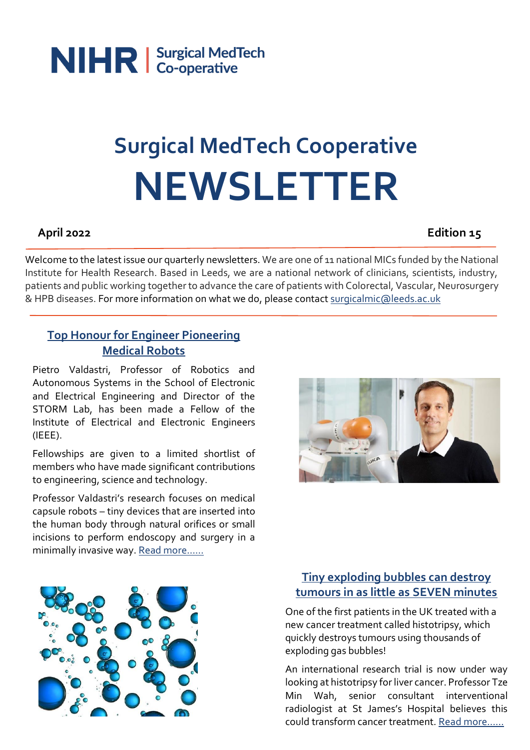

# **Surgical MedTech Cooperative NEWSLETTER**

#### **April 2022 Edition 15**

Welcome to the latest issue our quarterly newsletters. We are one of 11 national MICs funded by the National Institute for Health Research. Based in Leeds, we are a national network of clinicians, scientists, industry, patients and public working together to advance the care of patients with Colorectal, Vascular, Neurosurgery & HPB diseases. For more information on what we do, please contact [surgicalmic@leeds.ac.uk](mailto:surgicalmic@leeds.ac.uk)

#### **[Top Honour for Engineer Pioneering](https://www.leeds.ac.uk/main-index/news/article/5026/top-honour-for-engineer-pioneering-medical-robots?utm_source=NHSA+Newsletter+MASTER&utm_campaign=d043c129ca-EMAIL_CAMPAIGN_2018_03_12_COPY_01&utm_medium=email&utm_term=0_f78475f8da-d043c129ca-165086309)  [Medical Robots](https://www.leeds.ac.uk/main-index/news/article/5026/top-honour-for-engineer-pioneering-medical-robots?utm_source=NHSA+Newsletter+MASTER&utm_campaign=d043c129ca-EMAIL_CAMPAIGN_2018_03_12_COPY_01&utm_medium=email&utm_term=0_f78475f8da-d043c129ca-165086309)**

Pietro Valdastri, Professor of Robotics and Autonomous Systems in the School of Electronic and Electrical Engineering and Director of the STORM Lab, has been made a Fellow of the Institute of Electrical and Electronic Engineers (IEEE).

Fellowships are given to a limited shortlist of members who have made significant contributions to engineering, science and technology.

Professor Valdastri's research focuses on medical capsule robots – tiny devices that are inserted into the human body through natural orifices or small incisions to perform endoscopy and surgery in a minimally invasive way. Rea[d more……](https://www.leeds.ac.uk/main-index/news/article/5026/top-honour-for-engineer-pioneering-medical-robots?utm_source=NHSA+Newsletter+MASTER&utm_campaign=d043c129ca-EMAIL_CAMPAIGN_2018_03_12_COPY_01&utm_medium=email&utm_term=0_f78475f8da-d043c129ca-165086309)





### **[Tiny exploding bubbles can destroy](https://www.dailymail.co.uk/health/article-10612197/Radical-new-therapy-uses-tiny-bubbles-gas-destroy-tumours.html?fbclid=IwAR2j4cwboPGRxhF9OmbSkVWyFcv59LVuwkbE95wTYNVtrNjyw4Jkqtq0v0A)  [tumours in as little as SEVEN minutes](https://www.dailymail.co.uk/health/article-10612197/Radical-new-therapy-uses-tiny-bubbles-gas-destroy-tumours.html?fbclid=IwAR2j4cwboPGRxhF9OmbSkVWyFcv59LVuwkbE95wTYNVtrNjyw4Jkqtq0v0A)**

One of the first patients in the UK treated with a new cancer treatment called histotripsy, which quickly destroys tumours using thousands of exploding gas bubbles!

An international research trial is now under way looking at histotripsy for liver cancer. Professor Tze Min Wah, senior consultant interventional radiologist at St James's Hospital believes this could transform cancer treatment. Rea[d more……](https://www.dailymail.co.uk/health/article-10612197/Radical-new-therapy-uses-tiny-bubbles-gas-destroy-tumours.html?fbclid=IwAR2j4cwboPGRxhF9OmbSkVWyFcv59LVuwkbE95wTYNVtrNjyw4Jkqtq0v0A)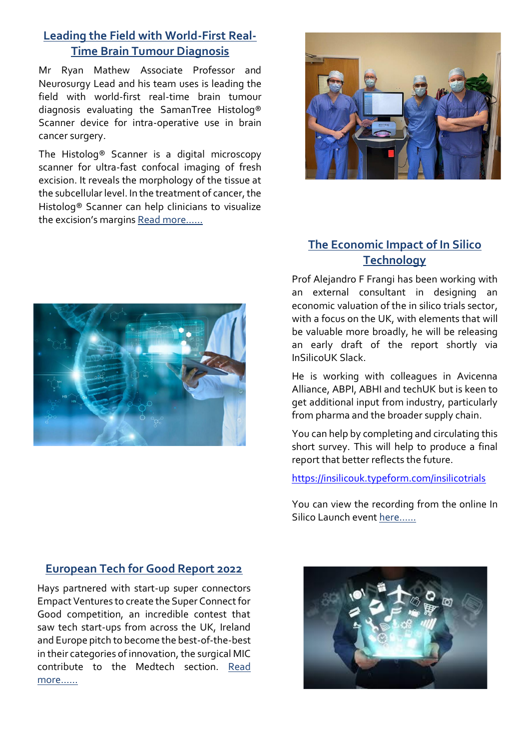### **[Leading the Field with World-First Real-](https://samantree.com/product/)[Time Brain Tumour Diagnosis](https://samantree.com/product/)**

Mr Ryan Mathew Associate Professor and Neurosurgy Lead and his team uses is leading the field with world-first real-time brain tumour diagnosis evaluating the SamanTree Histolog® Scanner device for intra-operative use in brain cancer surgery.

The Histolog® Scanner is a digital microscopy scanner for ultra-fast confocal imaging of fresh excision. It reveals the morphology of the tissue at the subcellular level. In the treatment of cancer, the Histolog® Scanner can help clinicians to visualize the excision's margins [Read more……](https://samantree.com/product/)





## **[The Economic Impact of In Silico](https://insilicouk.typeform.com/survey2)  [Technology](https://insilicouk.typeform.com/survey2)**

Prof Alejandro F Frangi has been working with an external consultant in designing an economic valuation of the in silico trials sector, with a focus on the UK, with elements that will be valuable more broadly, he will be releasing an early draft of the report shortly via InSilicoUK Slack.

He is working with colleagues in Avicenna Alliance, ABPI, ABHI and techUK but is keen to get additional input from industry, particularly from pharma and the broader supply chain.

You can help by completing and circulating this short survey. This will help to produce a final report that better reflects the future.

[https://insilicouk.typeform.com/insilicotrials](https://eur03.safelinks.protection.outlook.com/?url=https%3A%2F%2Finsilicouk.typeform.com%2Finsilicotrials&data=04%7C01%7CS.Boyes%40leeds.ac.uk%7C2be56ad8ae1942ef3d3308da1d415dc9%7Cbdeaeda8c81d45ce863e5232a535b7cb%7C1%7C0%7C637854463828139448%7CUnknown%7CTWFpbGZsb3d8eyJWIjoiMC4wLjAwMDAiLCJQIjoiV2luMzIiLCJBTiI6Ik1haWwiLCJXVCI6Mn0%3D%7C3000&sdata=YODEyXP%2BfREAZIRmde%2BcRG8EovLn3Of%2F3Hvkx7cMWk4%3D&reserved=0)

You can view the recording from the online In Silico Launch event her[e……](https://ktn-uk.org/events/insilicouk-network-launch/)

#### **[European Tech for Good Report 2022](https://www.hays.co.uk/it/super-connect-for-good)**

Hays partnered with start-up super connectors Empact Ventures to create the Super Connect for Good competition, an incredible contest that saw tech start-ups from across the UK, Ireland and Europe pitch to become the best-of-the-best in their categories of innovation, the surgical MIC contribute to the Medtech section. [Read](https://www.hays.co.uk/it/super-connect-for-good)  [more……](https://www.hays.co.uk/it/super-connect-for-good)

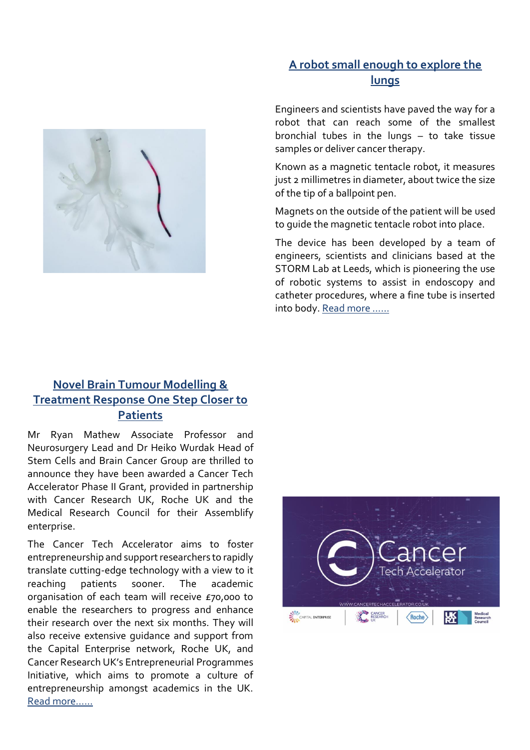#### **[A robot small enough to explore the](https://www.leeds.ac.uk/news-science/news/article/5050/a-robot-small-enough-to-explore-the-lungs)  [lungs](https://www.leeds.ac.uk/news-science/news/article/5050/a-robot-small-enough-to-explore-the-lungs)**



Engineers and scientists have paved the way for a robot that can reach some of the smallest bronchial tubes in the lungs – to take tissue samples or deliver cancer therapy.

Known as a magnetic tentacle robot, it measures just 2 millimetres in diameter, about twice the size of the tip of a ballpoint pen.

Magnets on the outside of the patient will be used to guide the magnetic tentacle robot into place.

The device has been developed by a team of engineers, scientists and clinicians based at the STORM Lab at Leeds, which is pioneering the use of robotic systems to assist in endoscopy and catheter procedures, where a fine tube is inserted into body. [Read more ……](https://www.leeds.ac.uk/news-science/news/article/5050/a-robot-small-enough-to-explore-the-lungs)

# **[Novel Brain Tumour Modelling &](https://www.cancertechaccelerator.co.uk/2022/03/23/414/)  [Treatment Response One Step Closer to](https://www.cancertechaccelerator.co.uk/2022/03/23/414/)  [Patients](https://www.cancertechaccelerator.co.uk/2022/03/23/414/)**

Mr Ryan Mathew Associate Professor and Neurosurgery Lead and Dr Heiko Wurdak Head of Stem Cells and Brain Cancer Group are thrilled to announce they have been awarded a Cancer Tech Accelerator Phase II Grant, provided in partnership with Cancer Research UK, Roche UK and the Medical Research Council for their Assemblify enterprise.

The Cancer Tech Accelerator aims to foster entrepreneurship and support researchers to rapidly translate cutting-edge technology with a view to it reaching patients sooner. The academic organisation of each team will receive £70,000 to enable the researchers to progress and enhance their research over the next six months. They will also receive extensive guidance and support from the Capital Enterprise network, Roche UK, and Cancer Research UK's Entrepreneurial Programmes Initiative, which aims to promote a culture of entrepreneurship amongst academics in the UK. [Read more……](https://www.cancertechaccelerator.co.uk/2022/03/23/414/)

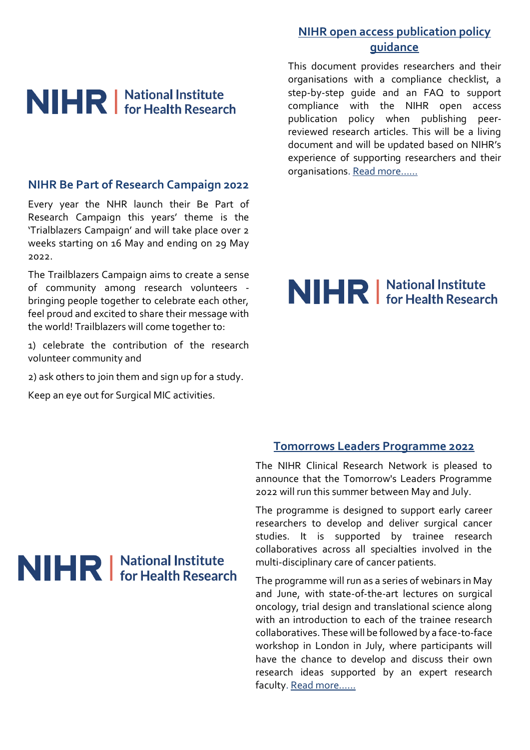# NIHR | National Institute

#### **NIHR Be Part of Research Campaign 2022**

Every year the NHR launch their Be Part of Research Campaign this years' theme is the 'Trialblazers Campaign' and will take place over 2 weeks starting on 16 May and ending on 29 May 2022.

The Trailblazers Campaign aims to create a sense of community among research volunteers bringing people together to celebrate each other, feel proud and excited to share their message with the world! Trailblazers will come together to:

1) celebrate the contribution of the research volunteer community and

2) ask others to join them and sign up for a study.

Keep an eye out for Surgical MIC activities.

### **[NIHR open access publication policy](https://www.nihr.ac.uk/documents/nihr-open-access-policy-guidance-articles-submitted-on-or-after-1-june-2022/30212?pr=)  [guidance](https://www.nihr.ac.uk/documents/nihr-open-access-policy-guidance-articles-submitted-on-or-after-1-june-2022/30212?pr=)**

This document provides researchers and their organisations with a compliance checklist, a step-by-step guide and an FAQ to support compliance with the NIHR open access publication policy when publishing peerreviewed research articles. This will be a living document and will be updated based on NIHR's experience of supporting researchers and their organisations. [Read more……](https://www.nihr.ac.uk/documents/nihr-open-access-policy-guidance-articles-submitted-on-or-after-1-june-2022/30212?pr=)

# NIHR | National Institute

#### **[Tomorrows Leaders Programme 2022](https://www.nihr.ac.uk/events/tomorrows-leaders-programme-2022/30222)**

The NIHR Clinical Research Network is pleased to announce that the Tomorrow's Leaders Programme 2022 will run this summer between May and July.

The programme is designed to support early career researchers to develop and deliver surgical cancer studies. It is supported by trainee research collaboratives across all specialties involved in the multi-disciplinary care of cancer patients.

The programme will run as a series of webinars in May and June, with state-of-the-art lectures on surgical oncology, trial design and translational science along with an introduction to each of the trainee research collaboratives. These will be followed by a face-to-face workshop in London in July, where participants will have the chance to develop and discuss their own research ideas supported by an expert research faculty[. Read m](https://www.nihr.ac.uk/events/tomorrows-leaders-programme-2022/30222)ore……

# NIHR | National Institute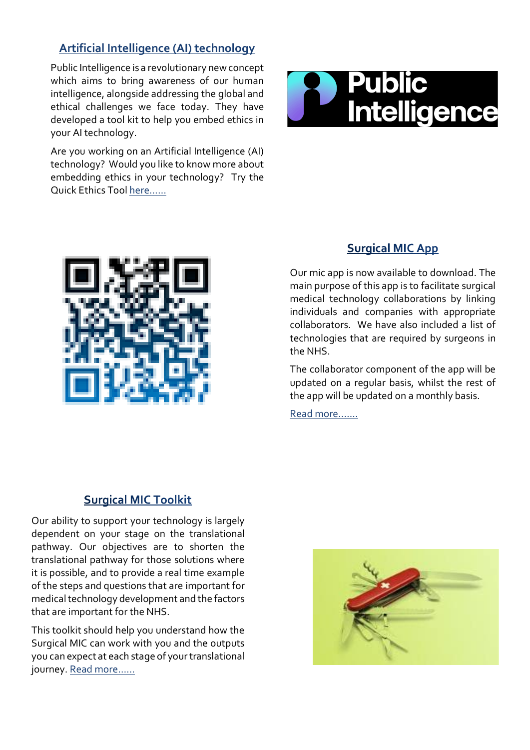### **[Artificial Intelligence \(AI\) technology](https://publicintelligence.org/quickethics/)**

Public Intelligence is a revolutionary new concept which aims to bring awareness of our human intelligence, alongside addressing the global and ethical challenges we face today. They have developed a tool kit to help you embed ethics in your AI technology.

Are you working on an Artificial Intelligence (AI) technology? Would you like to know more about embedding ethics in your technology? Try the Quick Ethics Tool [here……](https://publicintelligence.org/quickethics/)





#### **Surgical MIC App**

Our mic app is now available to download. The main purpose of this app is to facilitate surgical medical technology collaborations by linking individuals and companies with appropriate collaborators. We have also included a list of technologies that are required by surgeons in the NHS.

The collaborator component of the app will be updated on a regular basis, whilst the rest of the app will be updated on a monthly basis.

[Read more…….](https://surgicalmic.nihr.ac.uk/get-involved-2/surgical-mic-app/)

#### **Surgical MIC Toolkit**

Our ability to support your technology is largely dependent on your stage on the translational pathway. Our objectives are to shorten the translational pathway for those solutions where it is possible, and to provide a real time example of the steps and questions that are important for medical technology development and the factors that are important for the NHS.

This toolkit should help you understand how the Surgical MIC can work with you and the outputs you can expect at each stage of your translational journey. [Read more……](https://surgicalmic.nihr.ac.uk/get-involved-2/surgical-mic-toolkit/)

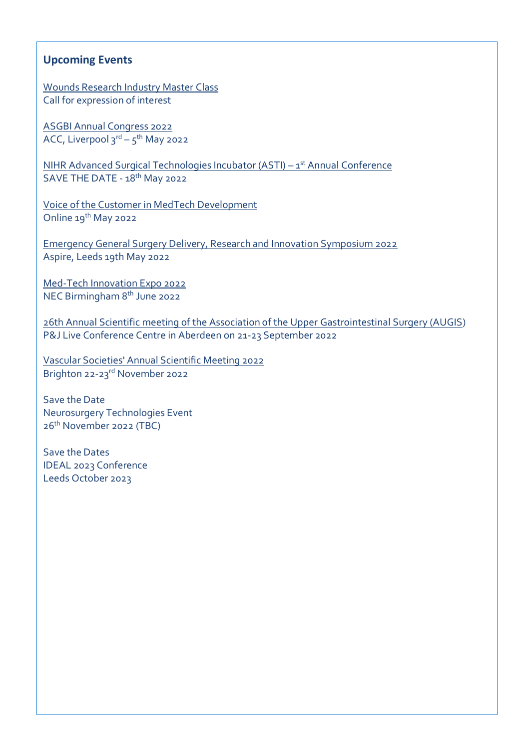#### **Upcoming Events**

[Wounds Research Industry](https://woundsrn.org/industry-master-class/) Master Class Call for expression of interest

[ASGBI Annual Congress 2022](https://na.eventscloud.com/website/32734/) ACC, Liverpool 3<sup>rd</sup> – 5<sup>th</sup> May 2022

[NIHR Advanced Surgical Technologies Incubator \(ASTI\)](https://www.ucl.ac.uk/interventional-surgical-sciences/advanced-surgical-technology/nihr-asti-events) - 1st Annual Conference SAVE THE DATE - 18<sup>th</sup> May 2022

[Voice of the Customer in MedTech Development](https://www.eventbrite.co.uk/e/voice-of-the-customer-in-medtech-development-registration-308538195047) Online 19<sup>th</sup> May 2022

[Emergency General Surgery Delivery, Research and Innovation Symposium 2022](https://www.eventbrite.co.uk/e/emergency-general-surgery-delivery-research-and-innovation-symposium-2022-tickets-287100183377) Aspire, Leeds 19th May 2022

[Med-Tech Innovation Expo 2022](https://med-techexpo.com/event/en/page/take-part) NEC Birmingham 8th June 2022

[26th Annual Scientific meeting of the Association of the Upper Gastrointestinal Surgery \(AUGIS\)](https://www.augis.org/Events-Webinars/AUGIS-Conferences) P&J Live Conference Centre in Aberdeen on 21-23 September 2022

[Vascular Societies' Annual Scientific Meeting 2022](https://www.vascularsociety.org.uk/professionals/events/2546/vascular_societies_annual_scienitific_meeting_2022) Brighton 22-23rd November 2022

Save the Date Neurosurgery Technologies Event 26 th November 2022 (TBC)

Save the Dates IDEAL 2023 Conference Leeds October 2023